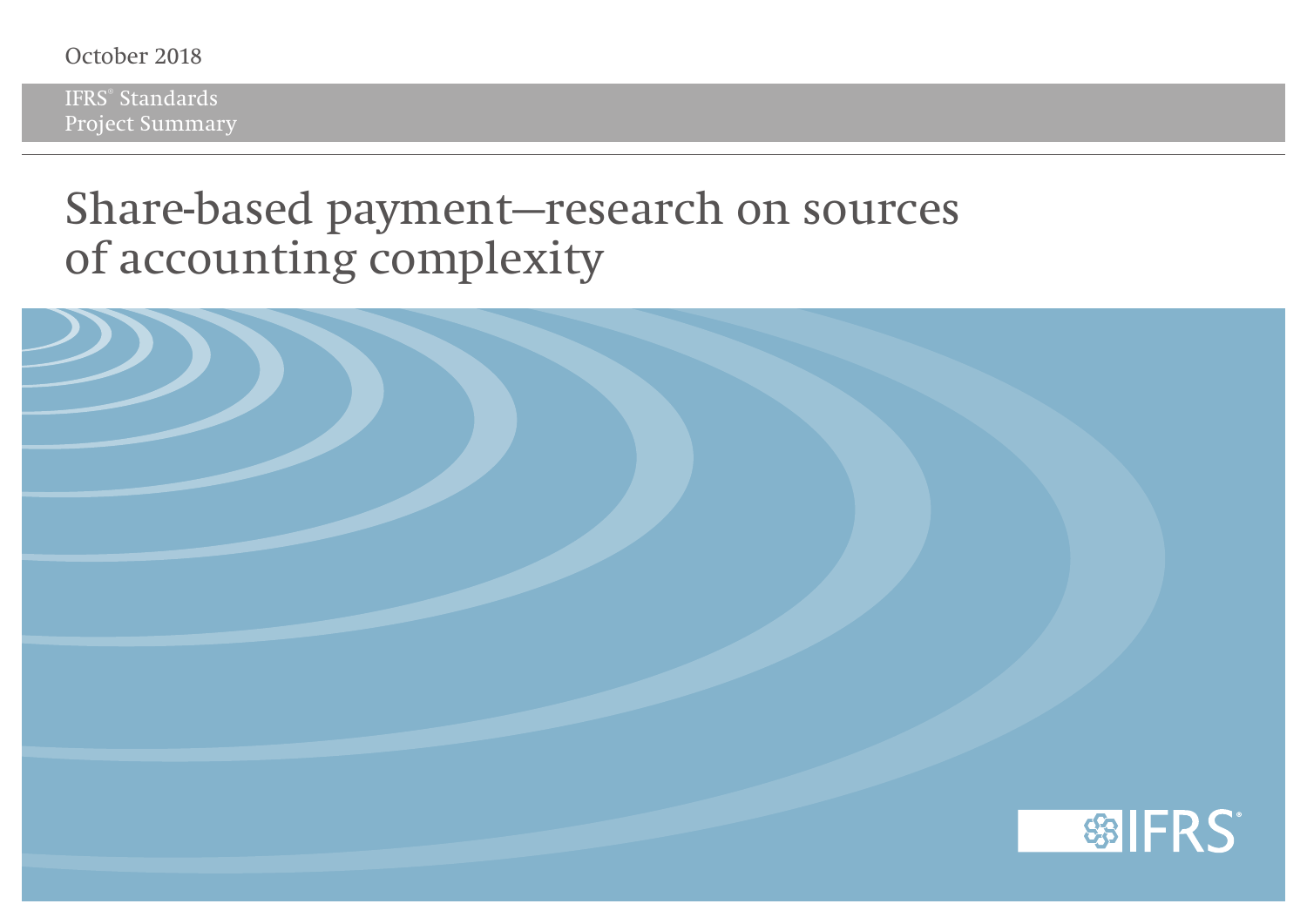## October 2018

IFRS® Standards Project Summary

## **Share-based payment—research on sources of accounting complexity**

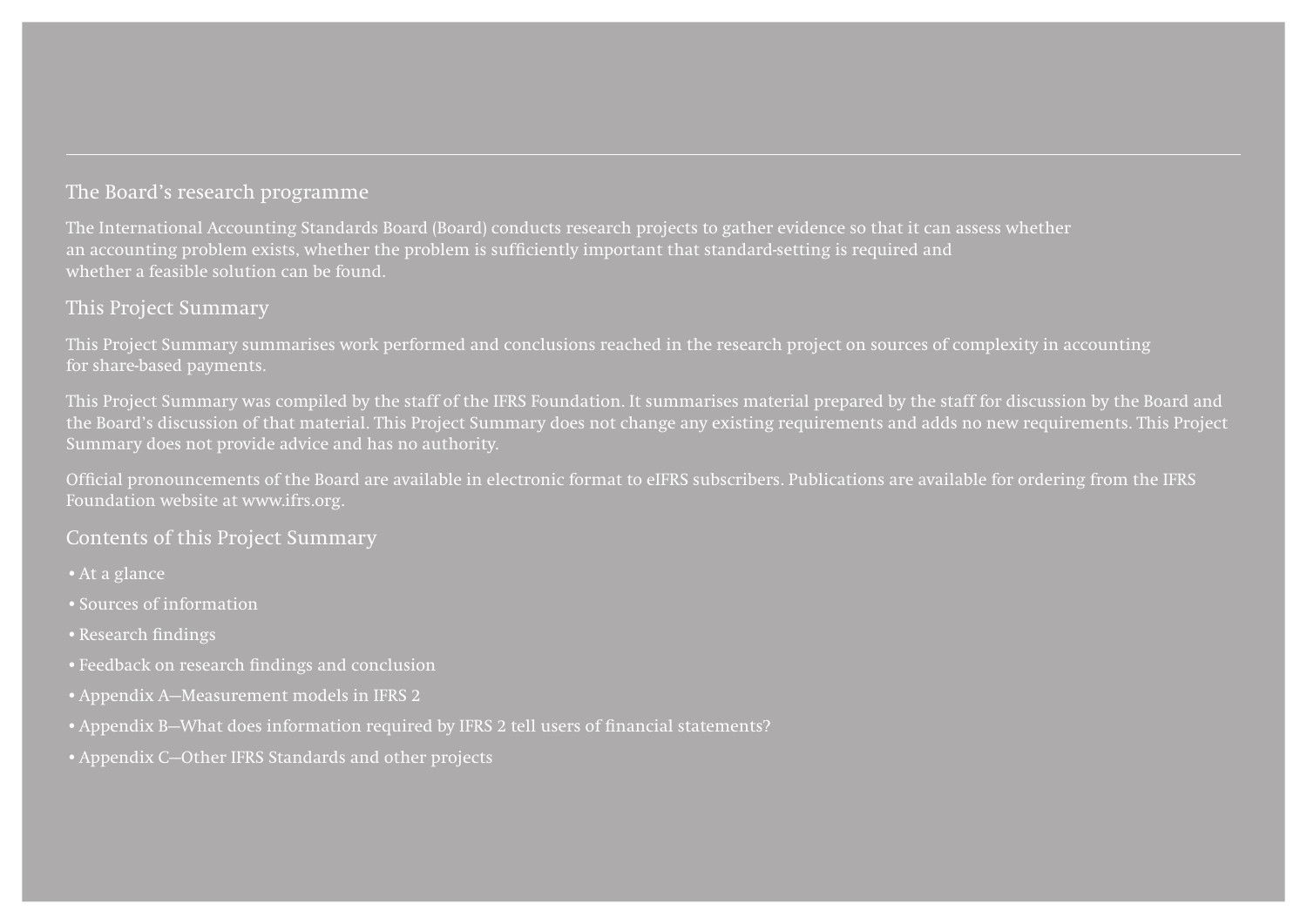## The Board's research programme

The International Accounting Standards Board (Board) conducts research projects to gather evidence so that it can assess whether an accounting problem exists, whether the problem is sufficiently important that standard-setting is required and whether a feasible solution can be found.

## This Project Summary

This Project Summary summarises work performed and conclusions reached in the research project on sources of complexity in accounting for share-based payments.

This Project Summary was compiled by the staff of the IFRS Foundation. It summarises material prepared by the staff for discussion by the Board and the Board's discussion of that material. This Project Summary does not change any existing requirements and adds no new requirements. This Project Summary does not provide advice and has no authority.

Official pronouncements of the Board are available in electronic format to eIFRS subscribers. Publications are available for ordering from the IFRS Foundation website at www.ifrs.org.

### Contents of this Project Summary

- •At a glance
- •Sources of information
- •Research findings
- •Feedback on research findings and conclusion
- •Appendix A—Measurement models in IFRS 2
- •Appendix B—What does information required by IFRS 2 tell users of financial statements?
- •Appendix C—Other IFRS Standards and other projects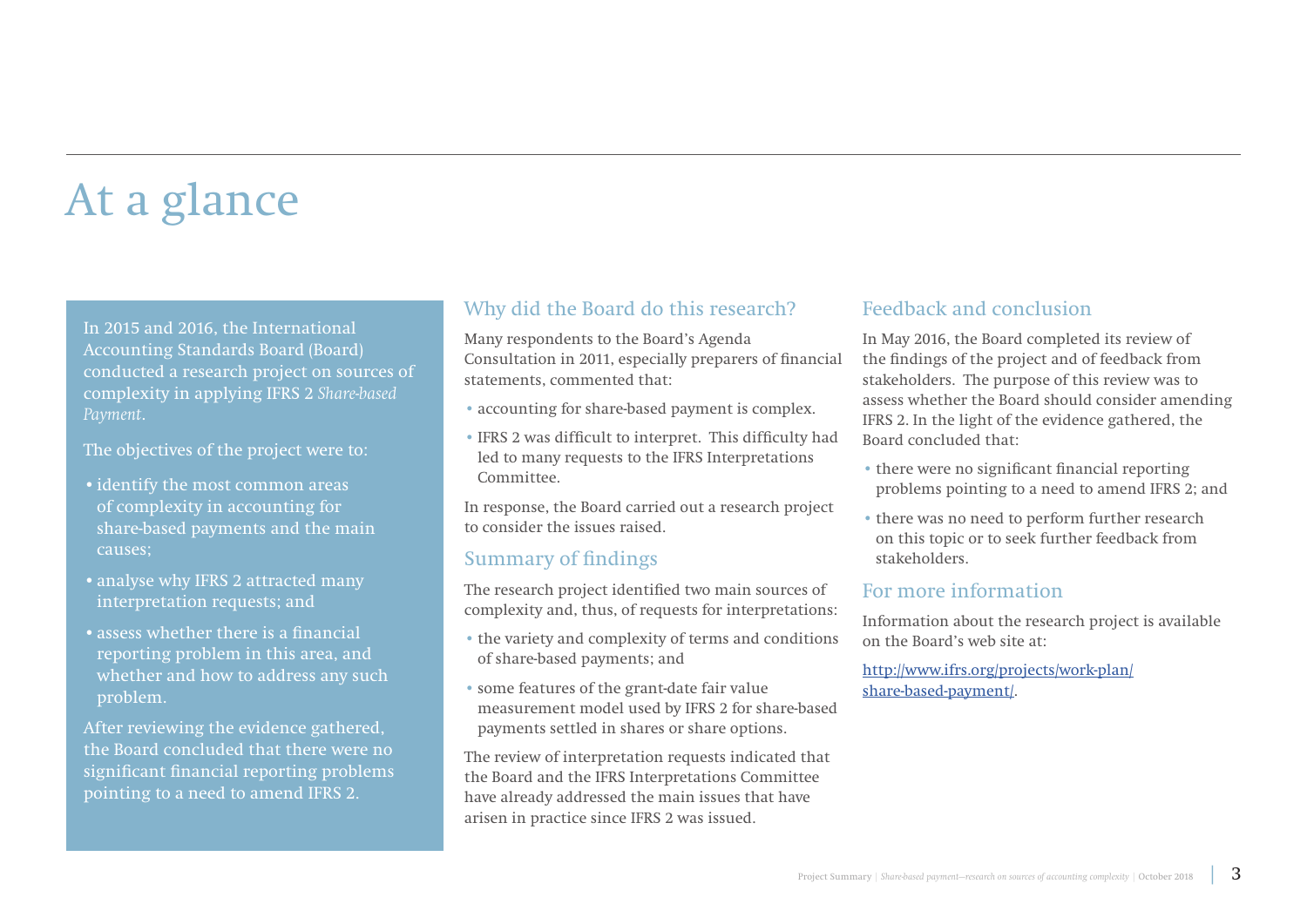## At a glance

In 2015 and 2016, the International Accounting Standards Board (Board) conducted a research project on sources of complexity in applying IFRS 2 *Share-based Payment*.

The objectives of the project were to:

- •identify the most common areas of complexity in accounting for share-based payments and the main causes;
- •analyse why IFRS 2 attracted many interpretation requests; and
- •assess whether there is a financial reporting problem in this area, and whether and how to address any such problem.

After reviewing the evidence gathered, the Board concluded that there were no significant financial reporting problems pointing to a need to amend IFRS 2.

### Why did the Board do this research?

Many respondents to the Board's Agenda Consultation in 2011, especially preparers of financial statements, commented that:

- accounting for share-based payment is complex.
- IFRS 2 was difficult to interpret. This difficulty had led to many requests to the IFRS Interpretations Committee.

In response, the Board carried out a research project to consider the issues raised.

### Summary of findings

The research project identified two main sources of complexity and, thus, of requests for interpretations:

- the variety and complexity of terms and conditions of share-based payments; and
- some features of the grant-date fair value measurement model used by IFRS 2 for share-based payments settled in shares or share options.

The review of interpretation requests indicated that the Board and the IFRS Interpretations Committee have already addressed the main issues that have arisen in practice since IFRS 2 was issued.

### Feedback and conclusion

In May 2016, the Board completed its review of the findings of the project and of feedback from stakeholders. The purpose of this review was to assess whether the Board should consider amending IFRS 2. In the light of the evidence gathered, the Board concluded that:

- there were no significant financial reporting problems pointing to a need to amend IFRS 2; and
- there was no need to perform further research on this topic or to seek further feedback from stakeholders.

### For more information

Information about the research project is available on the Board's web site at:

[http://www.ifrs.org/projects/work-plan/](http://www.ifrs.org/projects/work-plan/share-based-payment/) [share-based-payment/](http://www.ifrs.org/projects/work-plan/share-based-payment/).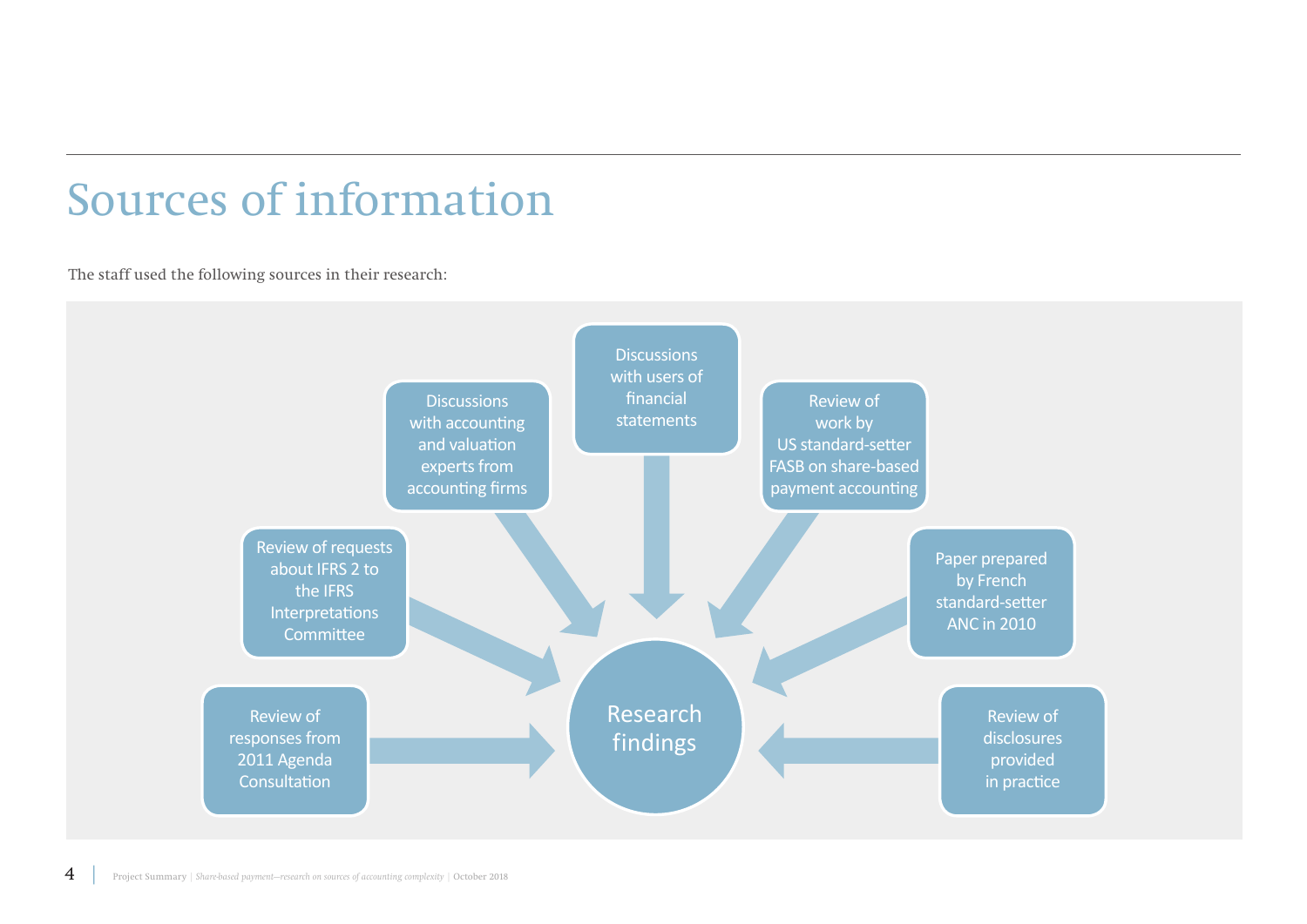## Sources of information

The staff used the following sources in their research:

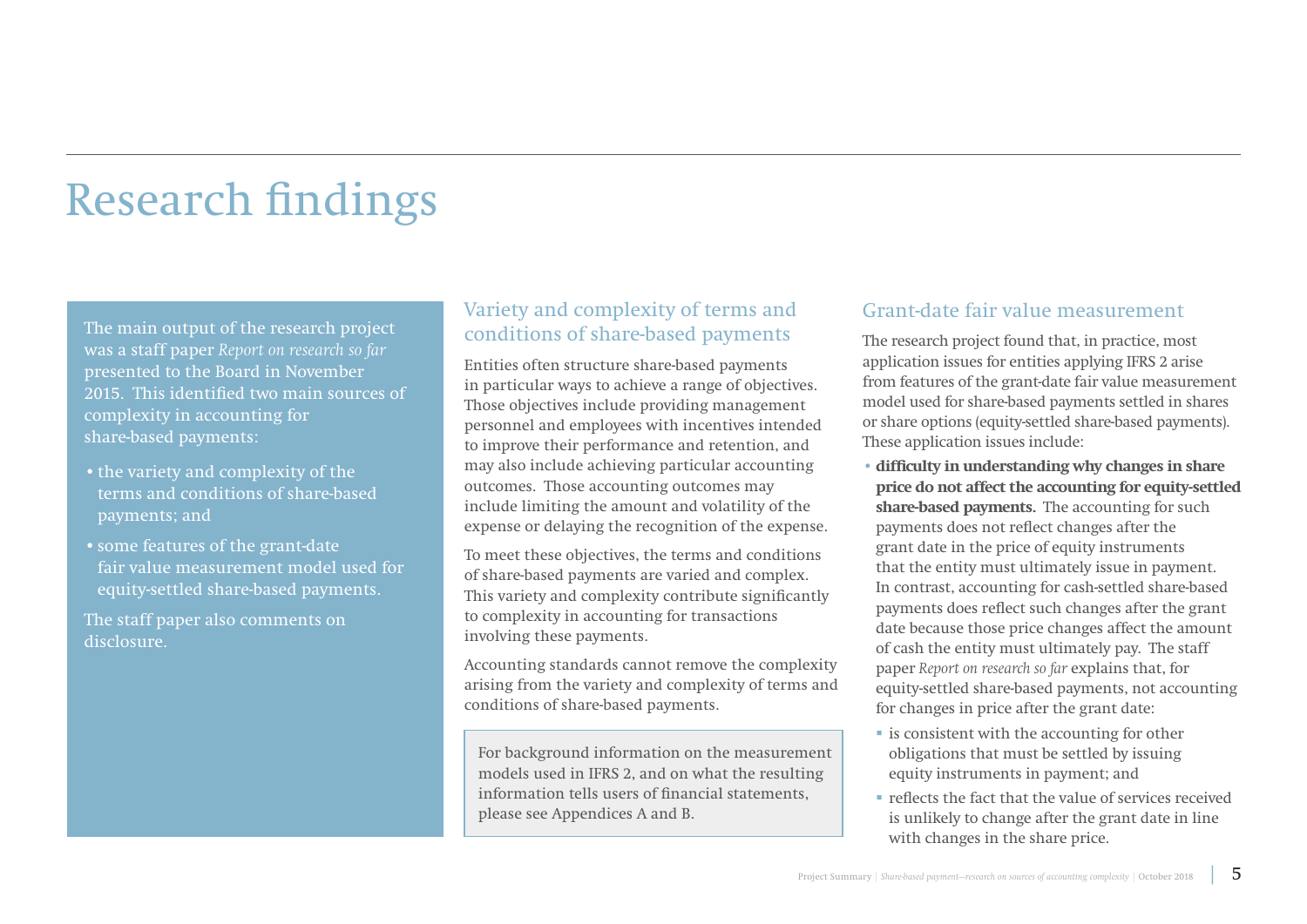## Research findings

The main output of the research project was a staff paper *[Report on research so far](https://www.ifrs.org/-/media/feature/meetings/2016/may/iasb/share-based-payment/ap16a-share-based-payment.pdf)* presented to the Board in November 2015. This identified two main sources of complexity in accounting for share-based payments:

- the variety and complexity of the terms and conditions of share-based payments; and
- •some features of the grant-date fair value measurement model used for equity-settled share-based payments.

The staff paper also comments on disclosure.

## Variety and complexity of terms and conditions of share-based payments

Entities often structure share-based payments in particular ways to achieve a range of objectives. Those objectives include providing management personnel and employees with incentives intended to improve their performance and retention, and may also include achieving particular accounting outcomes. Those accounting outcomes may include limiting the amount and volatility of the expense or delaying the recognition of the expense.

To meet these objectives, the terms and conditions of share-based payments are varied and complex. This variety and complexity contribute significantly to complexity in accounting for transactions involving these payments.

Accounting standards cannot remove the complexity arising from the variety and complexity of terms and conditions of share-based payments.

For background information on the measurement models used in IFRS 2, and on what the resulting information tells users of financial statements, please see Appendices A and B.

### Grant-date fair value measurement

The research project found that, in practice, most application issues for entities applying IFRS 2 arise from features of the grant-date fair value measurement model used for share-based payments settled in shares or share options (equity-settled share-based payments). These application issues include:

- **difficulty in understanding why changes in share price do not affect the accounting for equity‑settled share-based payments.** The accounting for such payments does not reflect changes after the grant date in the price of equity instruments that the entity must ultimately issue in payment. In contrast, accounting for cash-settled share-based payments does reflect such changes after the grant date because those price changes affect the amount of cash the entity must ultimately pay. The staff paper *Report on research so far* explains that, for equity-settled share-based payments, not accounting for changes in price after the grant date:
- $\blacksquare$  is consistent with the accounting for other obligations that must be settled by issuing equity instruments in payment; and
- reflects the fact that the value of services received is unlikely to change after the grant date in line with changes in the share price.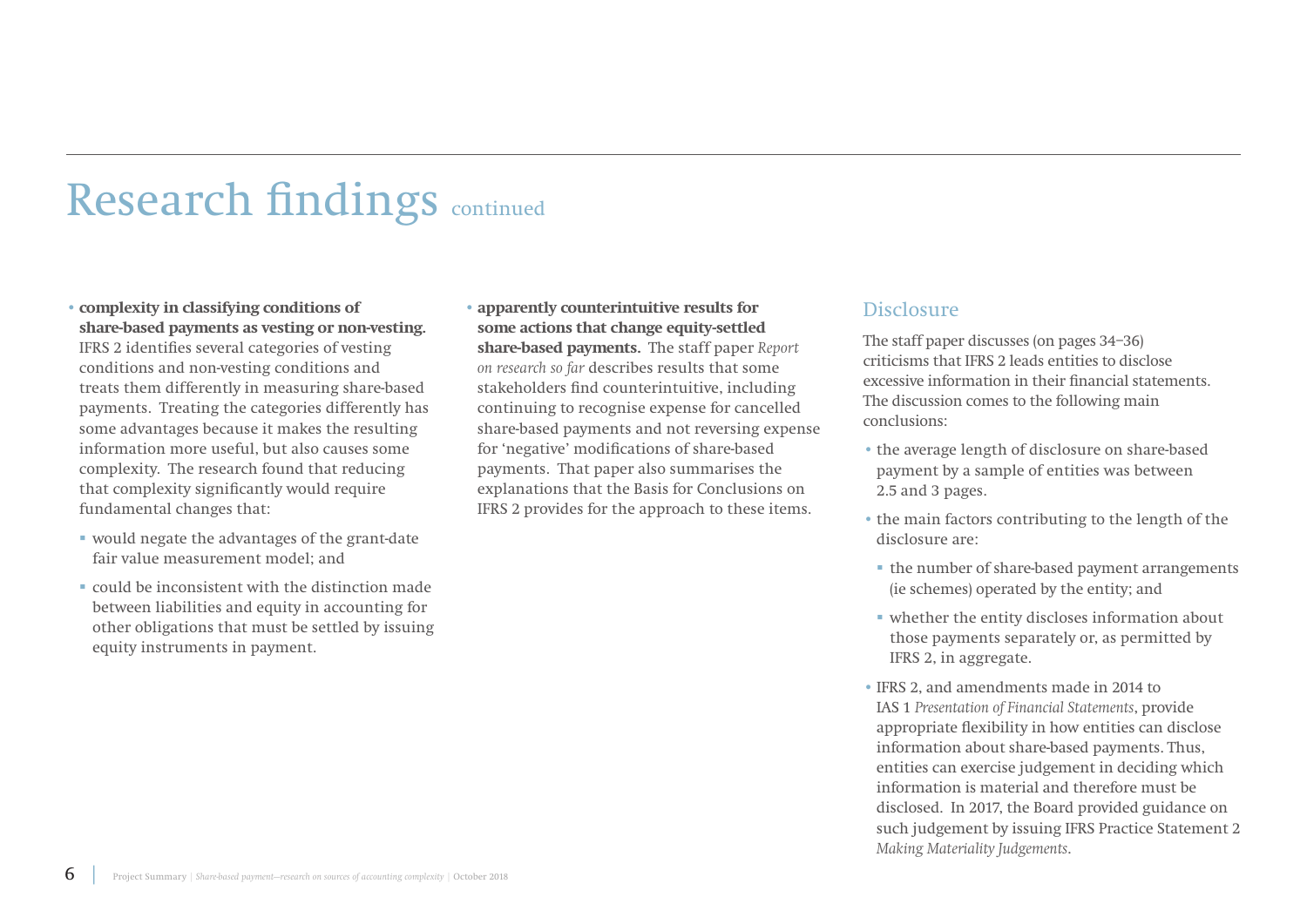## Research findings continued

- **complexity in classifying conditions of share‑based payments as vesting or non-vesting.** IFRS 2 identifies several categories of vesting conditions and non-vesting conditions and treats them differently in measuring share-based payments. Treating the categories differently has some advantages because it makes the resulting information more useful, but also causes some complexity. The research found that reducing that complexity significantly would require fundamental changes that:
- would negate the advantages of the grant-date fair value measurement model; and
- could be inconsistent with the distinction made between liabilities and equity in accounting for other obligations that must be settled by issuing equity instruments in payment.
- **apparently counterintuitive results for some actions that change equity-settled share-based payments.** The staff paper *Report on research so far* describes results that some stakeholders find counterintuitive, including continuing to recognise expense for cancelled share-based payments and not reversing expense for 'negative' modifications of share-based payments. That paper also summarises the explanations that the Basis for Conclusions on IFRS 2 provides for the approach to these items.

### **Disclosure**

The staff paper discusses (on pages 34–36) criticisms that IFRS 2 leads entities to disclose excessive information in their financial statements. The discussion comes to the following main conclusions:

- the average length of disclosure on share-based payment by a sample of entities was between 2.5 and 3 pages.
- the main factors contributing to the length of the disclosure are:
- the number of share-based payment arrangements (ie schemes) operated by the entity; and
- whether the entity discloses information about those payments separately or, as permitted by IFRS 2, in aggregate.
- IFRS 2, and amendments made in 2014 to IAS 1 *Presentation of Financial Statements*, provide appropriate flexibility in how entities can disclose information about share-based payments. Thus, entities can exercise judgement in deciding which information is material and therefore must be disclosed. In 2017, the Board provided guidance on such judgement by issuing IFRS Practice Statement 2 *Making Materiality Judgements*.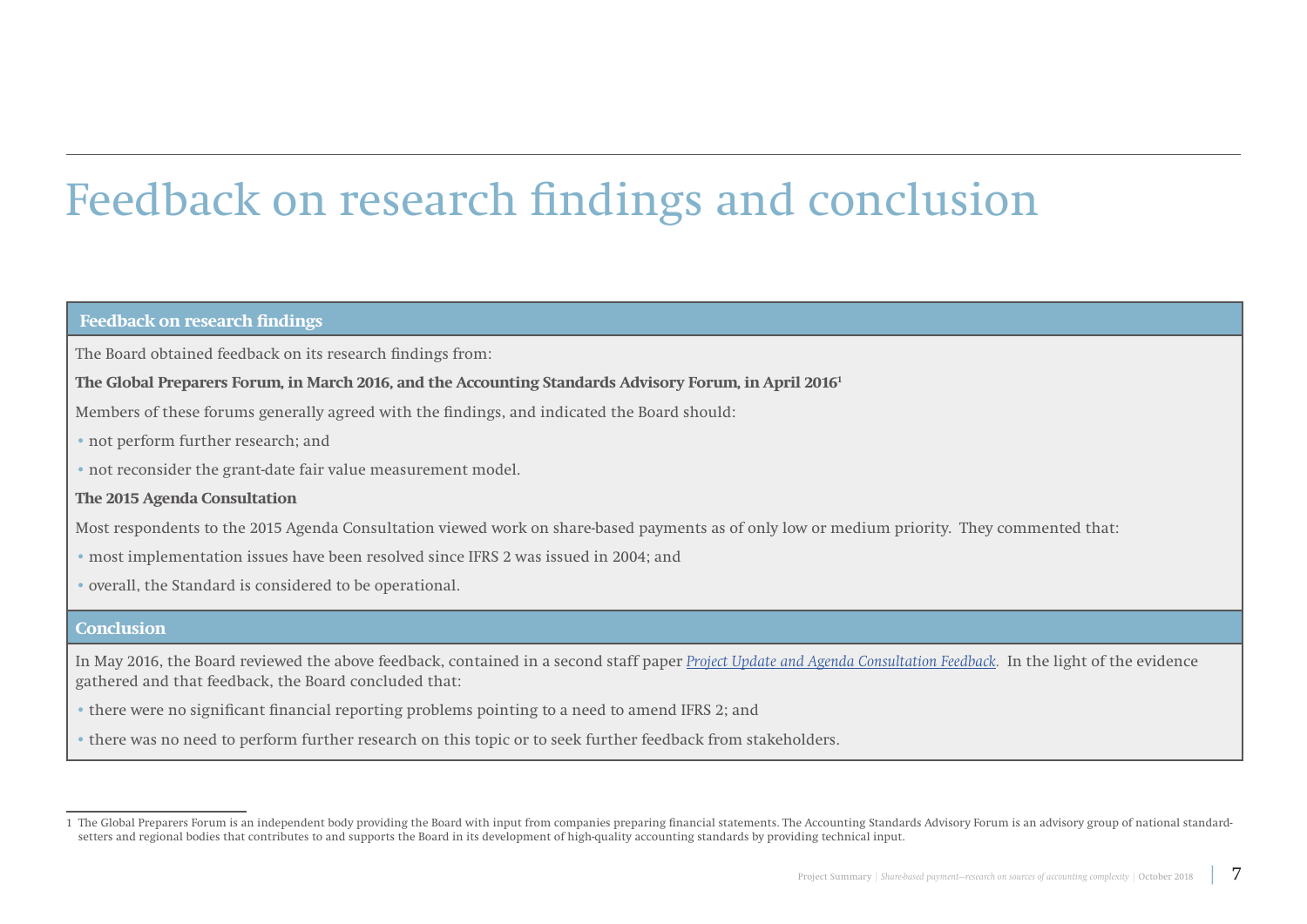## Feedback on research findings and conclusion

#### **Feedback on research findings**

The Board obtained feedback on its research findings from:

#### **The Global Preparers Forum, in March 2016, and the Accounting Standards Advisory Forum, in April 20161**

Members of these forums generally agreed with the findings, and indicated the Board should:

- not perform further research; and
- not reconsider the grant-date fair value measurement model.

#### **The 2015 Agenda Consultation**

Most respondents to the 2015 Agenda Consultation viewed work on share-based payments as of only low or medium priority. They commented that:

- most implementation issues have been resolved since IFRS 2 was issued in 2004; and
- overall, the Standard is considered to be operational.

#### **Conclusion**

In May 2016, the Board reviewed the above feedback, contained in a second staff paper *[Project Update and Agenda Consultation Feedback.](https://www.ifrs.org/-/media/feature/meetings/2016/may/iasb/share-based-payment/ap16-share-based-payment.pdf)* In the light of the evidence gathered and that feedback, the Board concluded that:

- there were no significant financial reporting problems pointing to a need to amend IFRS 2; and
- there was no need to perform further research on this topic or to seek further feedback from stakeholders.

<sup>1</sup> The Global Preparers Forum is an independent body providing the Board with input from companies preparing financial statements. The Accounting Standards Advisory Forum is an advisory group of national standardsetters and regional bodies that contributes to and supports the Board in its development of high-quality accounting standards by providing technical input.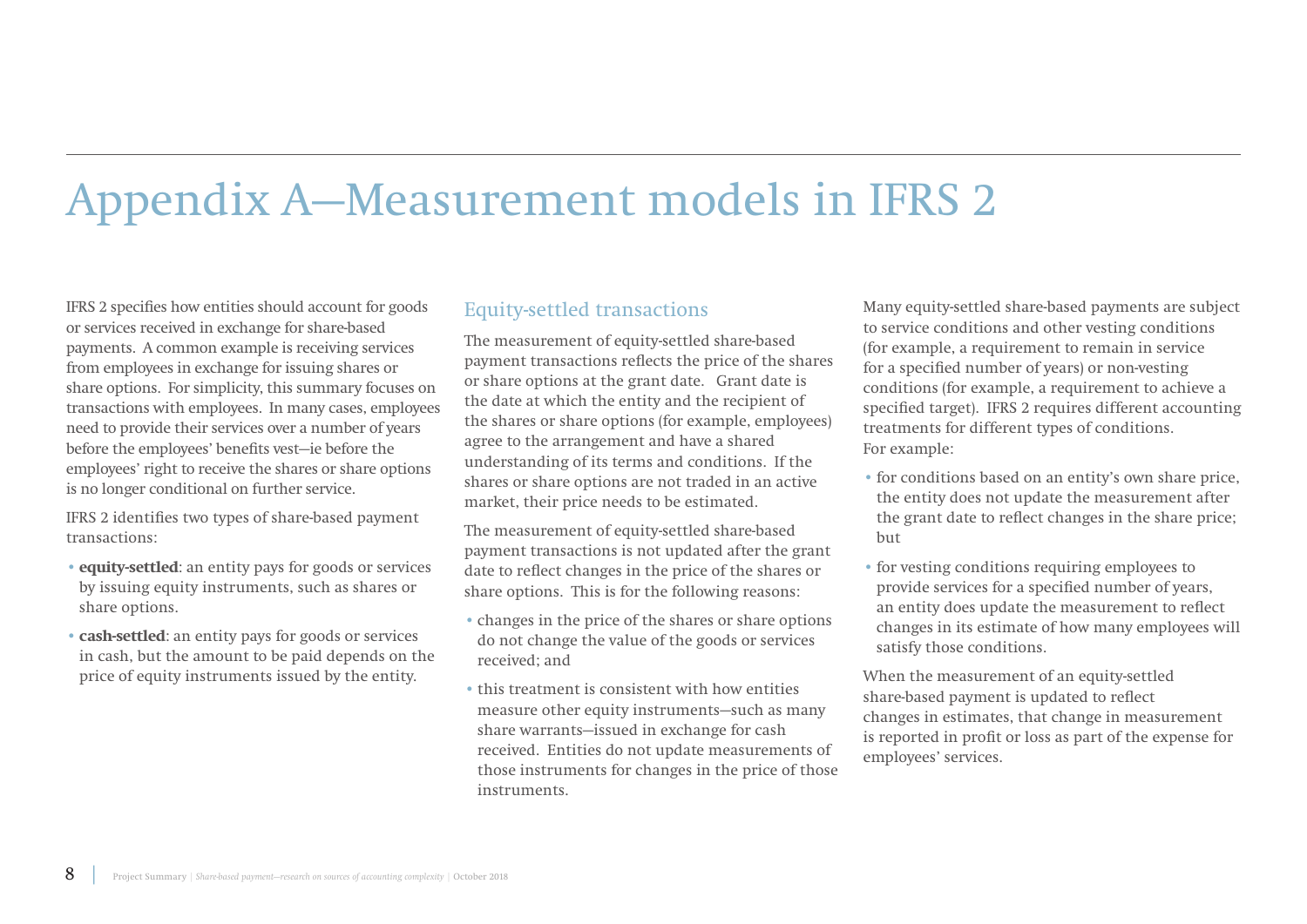# Appendix A—Measurement models in IFRS 2

IFRS 2 specifies how entities should account for goods or services received in exchange for share-based payments. A common example is receiving services from employees in exchange for issuing shares or share options. For simplicity, this summary focuses on transactions with employees. In many cases, employees need to provide their services over a number of years before the employees' benefits vest—ie before the employees' right to receive the shares or share options is no longer conditional on further service.

IFRS 2 identifies two types of share-based payment transactions:

- **equity-settled**: an entity pays for goods or services by issuing equity instruments, such as shares or share options.
- **cash-settled**: an entity pays for goods or services in cash, but the amount to be paid depends on the price of equity instruments issued by the entity.

## Equity-settled transactions

The measurement of equity-settled share-based payment transactions reflects the price of the shares or share options at the grant date. Grant date is the date at which the entity and the recipient of the shares or share options (for example, employees) agree to the arrangement and have a shared understanding of its terms and conditions. If the shares or share options are not traded in an active market, their price needs to be estimated.

The measurement of equity-settled share-based payment transactions is not updated after the grant date to reflect changes in the price of the shares or share options. This is for the following reasons:

- changes in the price of the shares or share options do not change the value of the goods or services received; and
- this treatment is consistent with how entities measure other equity instruments—such as many share warrants—issued in exchange for cash received. Entities do not update measurements of those instruments for changes in the price of those instruments.

Many equity-settled share-based payments are subject to service conditions and other vesting conditions (for example, a requirement to remain in service for a specified number of years) or non-vesting conditions (for example, a requirement to achieve a specified target). IFRS 2 requires different accounting treatments for different types of conditions. For example:

- for conditions based on an entity's own share price, the entity does not update the measurement after the grant date to reflect changes in the share price; but
- for vesting conditions requiring employees to provide services for a specified number of years, an entity does update the measurement to reflect changes in its estimate of how many employees will satisfy those conditions.

When the measurement of an equity-settled share-based payment is updated to reflect changes in estimates, that change in measurement is reported in profit or loss as part of the expense for employees' services.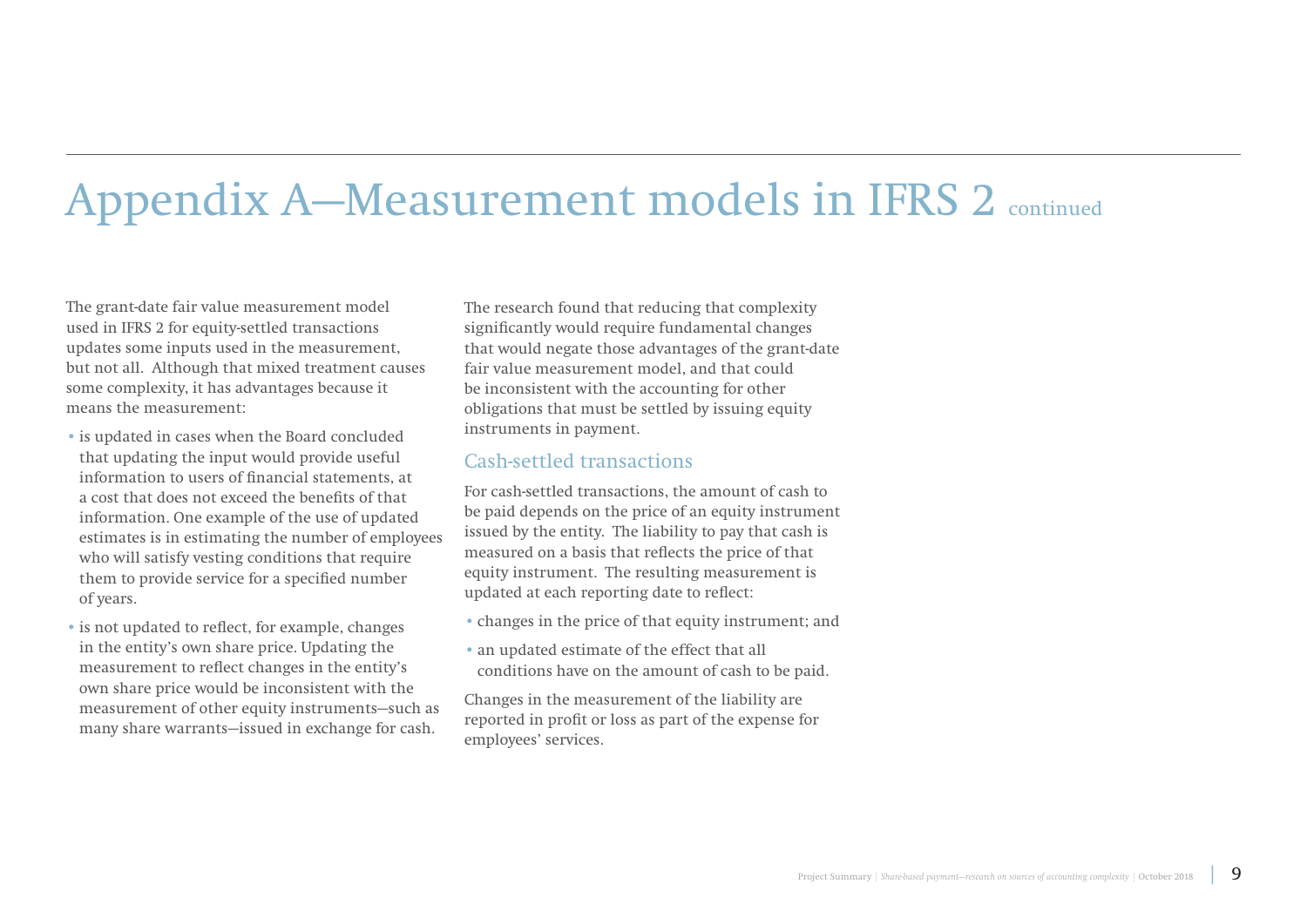# Appendix A—Measurement models in IFRS 2 continued

The grant-date fair value measurement model used in IFRS 2 for equity-settled transactions updates some inputs used in the measurement, but not all. Although that mixed treatment causes some complexity, it has advantages because it means the measurement:

- is updated in cases when the Board concluded that updating the input would provide useful information to users of financial statements, at a cost that does not exceed the benefits of that information. One example of the use of updated estimates is in estimating the number of employees who will satisfy vesting conditions that require them to provide service for a specified number of years.
- is not updated to reflect, for example, changes in the entity's own share price. Updating the measurement to reflect changes in the entity's own share price would be inconsistent with the measurement of other equity instruments—such as many share warrants—issued in exchange for cash.

The research found that reducing that complexity significantly would require fundamental changes that would negate those advantages of the grant-date fair value measurement model, and that could be inconsistent with the accounting for other obligations that must be settled by issuing equity instruments in payment.

### Cash-settled transactions

For cash-settled transactions, the amount of cash to be paid depends on the price of an equity instrument issued by the entity. The liability to pay that cash is measured on a basis that reflects the price of that equity instrument. The resulting measurement is updated at each reporting date to reflect:

- changes in the price of that equity instrument; and
- an updated estimate of the effect that all conditions have on the amount of cash to be paid.

Changes in the measurement of the liability are reported in profit or loss as part of the expense for employees' services.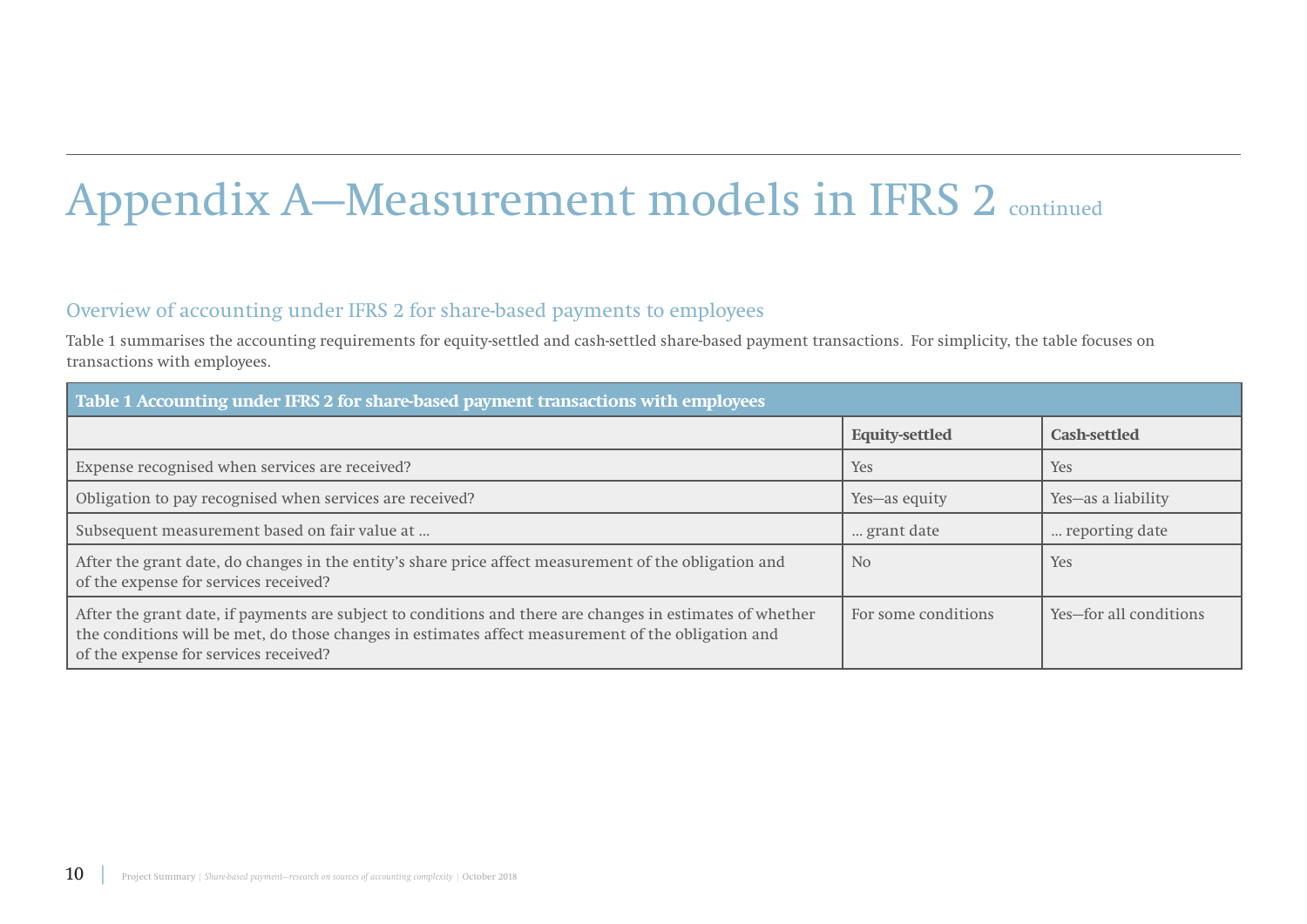# Appendix A–Measurement models in IFRS 2 continued

## Overview of accounting under IFRS 2 for share-based payments to employees

Table 1 summarises the accounting requirements for equity-settled and cash-settled share-based payment transactions. For simplicity, the table focuses on transactions with employees.

| Table 1 Accounting under IFRS 2 for share-based payment transactions with employees                                                                                                                                                                      |                       |                        |  |  |
|----------------------------------------------------------------------------------------------------------------------------------------------------------------------------------------------------------------------------------------------------------|-----------------------|------------------------|--|--|
|                                                                                                                                                                                                                                                          | <b>Equity-settled</b> | Cash-settled           |  |  |
| Expense recognised when services are received?                                                                                                                                                                                                           | <b>Yes</b>            | Yes                    |  |  |
| Obligation to pay recognised when services are received?                                                                                                                                                                                                 | Yes-as equity         | Yes-as a liability     |  |  |
| Subsequent measurement based on fair value at                                                                                                                                                                                                            | grant date            | reporting date         |  |  |
| After the grant date, do changes in the entity's share price affect measurement of the obligation and<br>of the expense for services received?                                                                                                           | N <sub>o</sub>        | Yes                    |  |  |
| After the grant date, if payments are subject to conditions and there are changes in estimates of whether<br>the conditions will be met, do those changes in estimates affect measurement of the obligation and<br>of the expense for services received? | For some conditions   | Yes-for all conditions |  |  |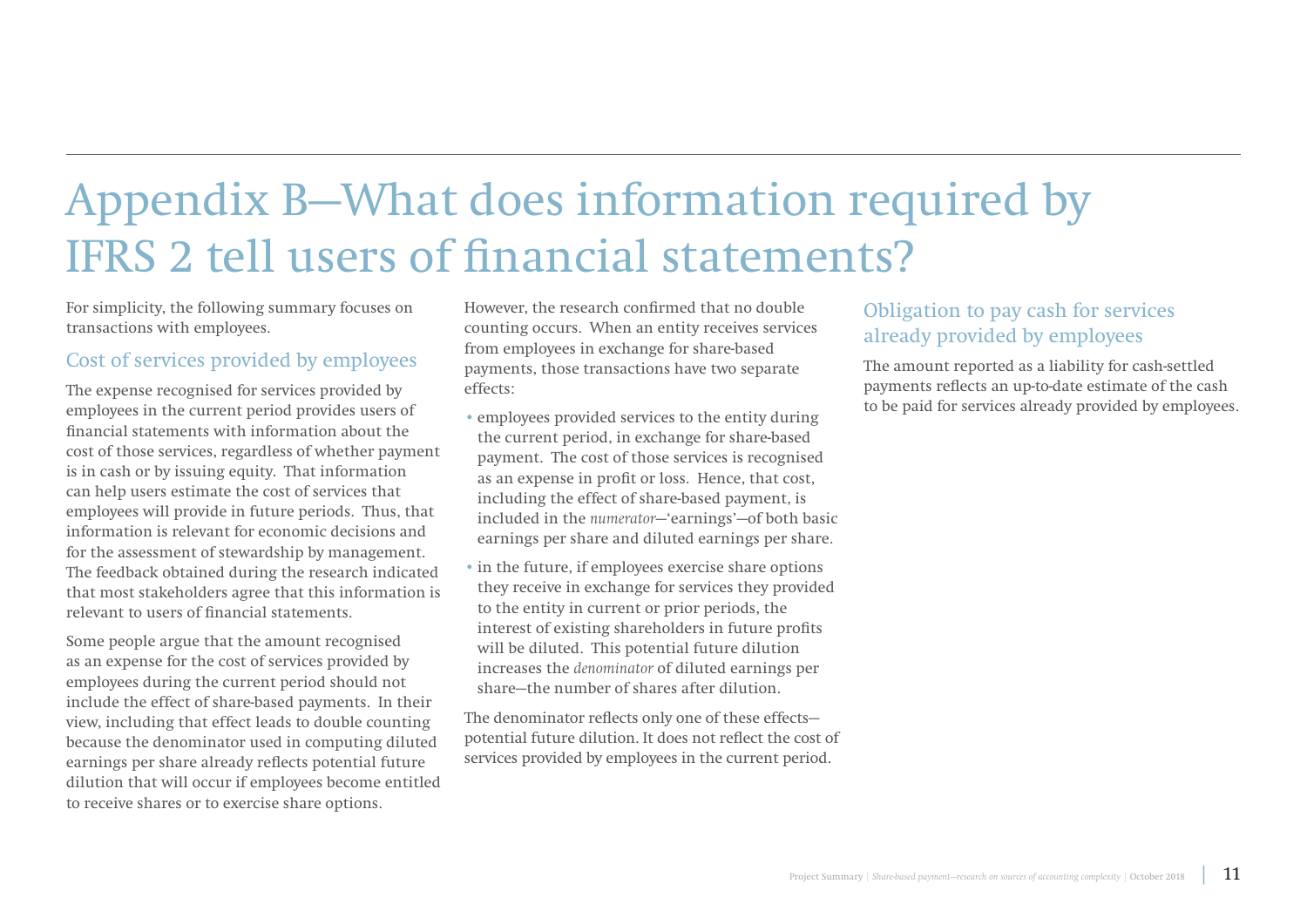## Appendix B—What does information required by IFRS 2 tell users of financial statements?

For simplicity, the following summary focuses on transactions with employees.

### Cost of services provided by employees

The expense recognised for services provided by employees in the current period provides users of financial statements with information about the cost of those services, regardless of whether payment is in cash or by issuing equity. That information can help users estimate the cost of services that employees will provide in future periods. Thus, that information is relevant for economic decisions and for the assessment of stewardship by management. The feedback obtained during the research indicated that most stakeholders agree that this information is relevant to users of financial statements.

Some people argue that the amount recognised as an expense for the cost of services provided by employees during the current period should not include the effect of share-based payments. In their view, including that effect leads to double counting because the denominator used in computing diluted earnings per share already reflects potential future dilution that will occur if employees become entitled to receive shares or to exercise share options.

However, the research confirmed that no double counting occurs. When an entity receives services from employees in exchange for share-based payments, those transactions have two separate effects:

- employees provided services to the entity during the current period, in exchange for share-based payment. The cost of those services is recognised as an expense in profit or loss. Hence, that cost, including the effect of share-based payment, is included in the *numerator*—'earnings'—of both basic earnings per share and diluted earnings per share.
- in the future, if employees exercise share options they receive in exchange for services they provided to the entity in current or prior periods, the interest of existing shareholders in future profits will be diluted. This potential future dilution increases the *denominator* of diluted earnings per share—the number of shares after dilution.

The denominator reflects only one of these effects potential future dilution. It does not reflect the cost of services provided by employees in the current period.

## Obligation to pay cash for services already provided by employees

The amount reported as a liability for cash-settled payments reflects an up-to-date estimate of the cash to be paid for services already provided by employees.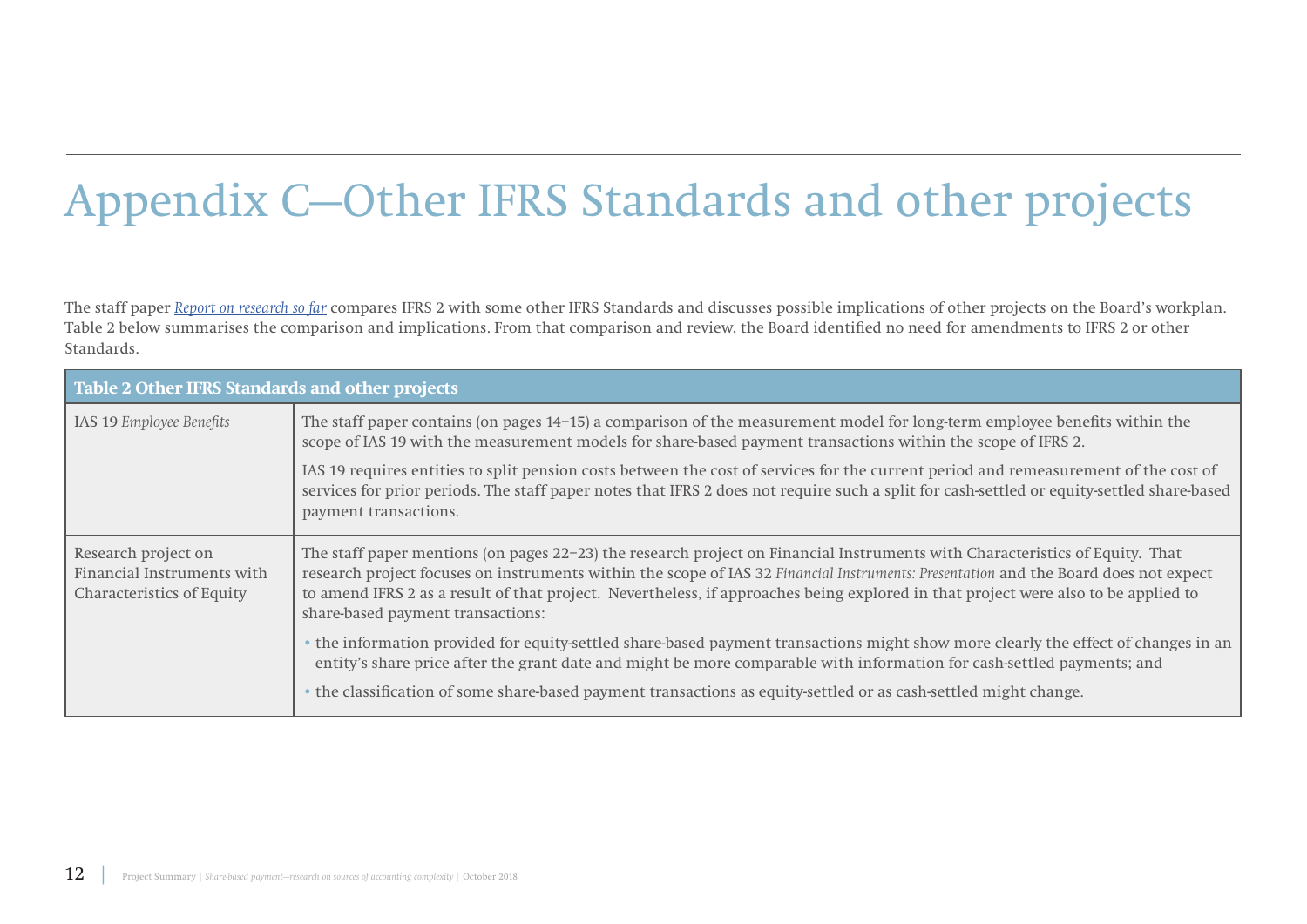# Appendix C—Other IFRS Standards and other projects

The staff paper *[Report on research so far](https://www.ifrs.org/-/media/feature/meetings/2016/may/iasb/share-based-payment/ap16a-share-based-payment.pdf)* compares IFRS 2 with some other IFRS Standards and discusses possible implications of other projects on the Board's workplan. Table 2 below summarises the comparison and implications. From that comparison and review, the Board identified no need for amendments to IFRS 2 or other Standards.

| Table 2 Other IFRS Standards and other projects                                       |                                                                                                                                                                                                                                                                                                                                                                                                                                                 |  |
|---------------------------------------------------------------------------------------|-------------------------------------------------------------------------------------------------------------------------------------------------------------------------------------------------------------------------------------------------------------------------------------------------------------------------------------------------------------------------------------------------------------------------------------------------|--|
| IAS 19 Employee Benefits                                                              | The staff paper contains (on pages 14–15) a comparison of the measurement model for long-term employee benefits within the<br>scope of IAS 19 with the measurement models for share-based payment transactions within the scope of IFRS 2.                                                                                                                                                                                                      |  |
|                                                                                       | IAS 19 requires entities to split pension costs between the cost of services for the current period and remeasurement of the cost of<br>services for prior periods. The staff paper notes that IFRS 2 does not require such a split for cash-settled or equity-settled share-based<br>payment transactions.                                                                                                                                     |  |
| Research project on<br>Financial Instruments with<br><b>Characteristics of Equity</b> | The staff paper mentions (on pages 22–23) the research project on Financial Instruments with Characteristics of Equity. That<br>research project focuses on instruments within the scope of IAS 32 Financial Instruments: Presentation and the Board does not expect<br>to amend IFRS 2 as a result of that project. Nevertheless, if approaches being explored in that project were also to be applied to<br>share-based payment transactions: |  |
|                                                                                       | • the information provided for equity-settled share-based payment transactions might show more clearly the effect of changes in an<br>entity's share price after the grant date and might be more comparable with information for cash-settled payments; and                                                                                                                                                                                    |  |
|                                                                                       | • the classification of some share-based payment transactions as equity-settled or as cash-settled might change.                                                                                                                                                                                                                                                                                                                                |  |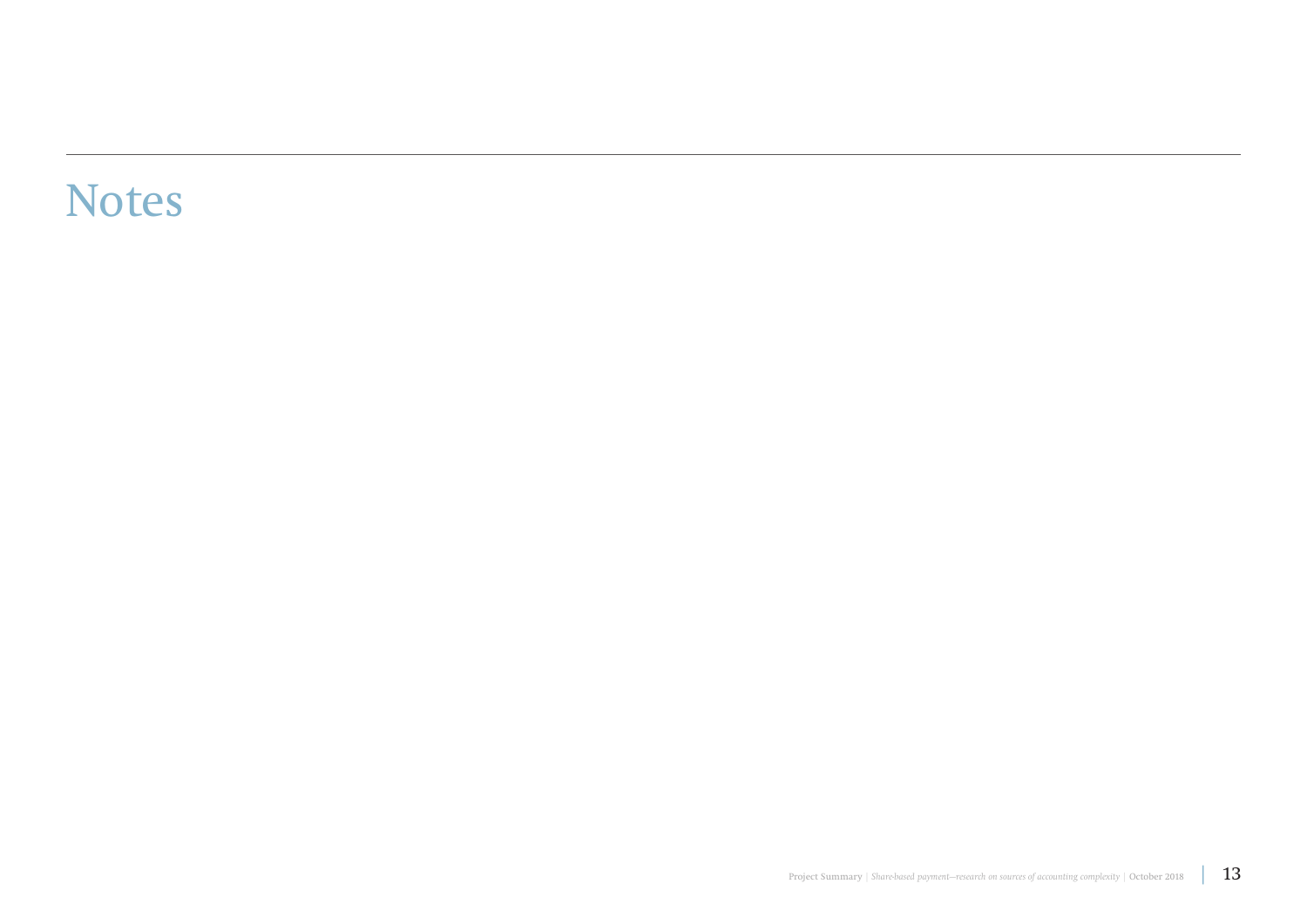## Notes